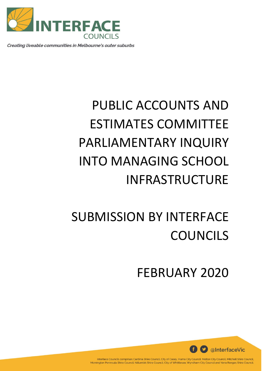

Creating liveable communities in Melbourne's outer suburbs

# PUBLIC ACCOUNTS AND ESTIMATES COMMITTEE PARLIAMENTARY INQUIRY INTO MANAGING SCHOOL INFRASTRUCTURE

## SUBMISSION BY INTERFACE **COUNCILS**

FEBRUARY 2020



Interface Councils comprises Cardinia Shire Council, City of Casey, Hume City Council, Melton City Council, Mitchell Shire Council, Mornington Peninsula Shire Council, Nillumbik Shire Council, City of Whittlesea, Wyndham City Council and Yarra Ranges Shire Council.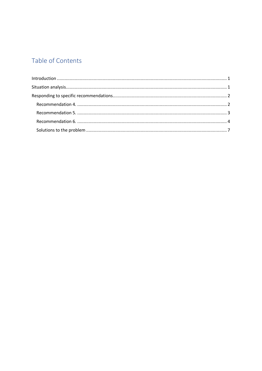## Table of Contents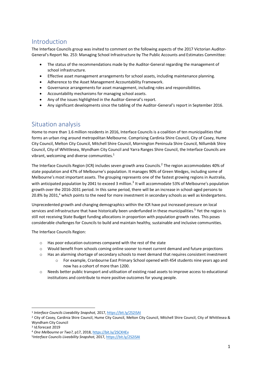## <span id="page-2-0"></span>Introduction

The Interface Councils group was invited to comment on the following aspects of the 2017 Victorian Auditor-General's Report No. 253: Managing School Infrastructure by The Public Accounts and Estimates Committee:

- The status of the recommendations made by the Auditor-General regarding the management of school infrastructure.
- Effective asset management arrangements for school assets, including maintenance planning.
- Adherence to the Asset Management Accountability Framework.
- Governance arrangements for asset management, including roles and responsibilities.
- Accountability mechanisms for managing school assets.
- Any of the issues highlighted in the Auditor-General's report.
- Any significant developments since the tabling of the Auditor-General's report in September 2016.

### <span id="page-2-1"></span>Situation analysis

Home to more than 1.6 million residents in 2016, Interface Councils is a coalition of ten municipalities that forms an urban ring around metropolitan Melbourne. Comprising Cardinia Shire Council, City of Casey, Hume City Council, Melton City Council, Mitchell Shire Council, Mornington Peninsula Shire Council, Nillumbik Shire Council, City of Whittlesea, Wyndham City Council and Yarra Ranges Shire Council, the Interface Councils are vibrant, welcoming and diverse communities. $^{1}$ 

The Interface Councils Region (ICR) includes seven growth area Councils.<sup>2</sup> The region accommodates 40% of state population and 47% of Melbourne's population. It manages 90% of Green Wedges, including some of Melbourne's most important assets. The grouping represents one of the fastest growing regions in Australia, with anticipated population by 2041 to exceed 3 million.<sup>3</sup> It will accommodate 53% of Melbourne's population growth over the 2016-2031 period. In this same period, there will be an increase in school-aged persons to 20.8% by 2031,<sup>4</sup> which points to the need for more investment in secondary schools as well as kindergartens.

Unprecedented growth and changing demographics within the ICR have put increased pressure on local services and infrastructure that have historically been underfunded in these municipalities.<sup>5</sup> Yet the region is still not receiving State Budget funding allocations in proportion with population growth rates. This poses considerable challenges for Councils to build and maintain healthy, sustainable and inclusive communities.

The Interface Councils Region:

- o Has poor education outcomes compared with the rest of the state
- o Would benefit from schools coming online sooner to meet current demand and future projections
- o Has an alarming shortage of secondary schools to meet demand that requires consistent investment
	- o For example, Cranbourne East Primary School opened with 454 students nine years ago and now has a cohort of more than 1200.
- o Needs better public transport and utilisation of existing road assets to improve access to educational institutions and contribute to more positive outcomes for young people.

1

<sup>1</sup> *Interface Councils Liveability Snapshot,* 2017[, https://bit.ly/2S2iSAI](https://bit.ly/2S2iSAI)

<sup>&</sup>lt;sup>2</sup> City of Casey, Cardinia Shire Council, Hume City Council, Melton City Council, Mitchell Shire Council, City of Whittlesea & Wyndham City Council

<sup>3</sup> Id.forecast 2019

<sup>4</sup> *One Melbourne or Two?,* p17, 2018[, https://bit.ly/2SCXHEv](https://bit.ly/2SCXHEv)

<sup>5</sup> *Interface Councils Liveability Snapshot,* 2017[, https://bit.ly/2S2iSAI](https://bit.ly/2S2iSAI)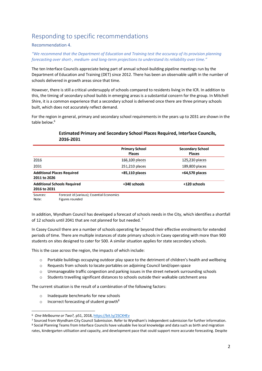## <span id="page-3-0"></span>Responding to specific recommendations

#### <span id="page-3-1"></span>Recommendation 4.

*"We recommend that the Department of Education and Training test the accuracy of its provision planning forecasting over short-, medium- and long-term projections to understand its reliability over time."*

The ten Interface Councils appreciate being part of annual school-building pipeline meetings run by the Department of Education and Training (DET) since 2012. There has been an observable uplift in the number of schools delivered in growth areas since that time.

However, there is still a critical undersupply of schools compared to residents living in the ICR. In addition to this, the timing of secondary school builds in emerging areas is a substantial concern for the group. In Mitchell Shire, it is a common experience that a secondary school is delivered once there are three primary schools built, which does not accurately reflect demand.

For the region in general, primary and secondary school requirements in the years up to 2031 are shown in the table below.<sup>6</sup>

|                                                    | <b>Primary School</b><br><b>Places</b> | <b>Secondary School</b><br><b>Places</b> |
|----------------------------------------------------|----------------------------------------|------------------------------------------|
| 2016                                               | 166,100 places                         | 125,230 places                           |
| 2031                                               | 251,210 places                         | 189,800 places                           |
| <b>Additional Places Required</b><br>2011 to 2026  | $+85,110$ places                       | $+64,570$ places                         |
| <b>Additional Schools Required</b><br>2016 to 2031 | +340 schools                           | +120 schools                             |

#### **Estimated Primary and Secondary School Places Required, Interface Councils,** 2016-2031

Forecast id (various); Essential Economics Sources: Note: Figures rounded

In addition, Wyndham Council has developed a forecast of schools needs in the City, which identifies a shortfall of 12 schools until 2041 that are not planned for but needed.<sup>7</sup>

In Casey Council there are a number of schools operating far beyond their effective enrolments for extended periods of time. There are multiple instances of state primary schools in Casey operating with more than 900 students on sites designed to cater for 500. A similar situation applies for state secondary schools.

This is the case across the region, the impacts of which include:

- o Portable buildings occupying outdoor play space to the detriment of children's health and wellbeing
- o Requests from schools to locate portables on adjoining Council land/open space
- o Unmanageable traffic congestion and parking issues in the street network surrounding schools
- o Students travelling significant distances to schools outside their walkable catchment area

The current situation is the result of a combination of the following factors:

- o Inadequate benchmarks for new schools
- o Incorrect forecasting of student growth<sup>8</sup>

**.** 

<sup>6</sup> *One Melbourne or Two?,* p51, 2018[, https://bit.ly/2SCXHEv](https://bit.ly/2SCXHEv)

<sup>7</sup> Sourced from Wyndham City Council Submission. Refer to Wyndham's independent submission for further information. 8 Social Planning Teams from Interface Councils have valuable live local knowledge and data such as birth and migration rates, kindergarten utilisation and capacity, and development pace that could support more accurate forecasting. Despite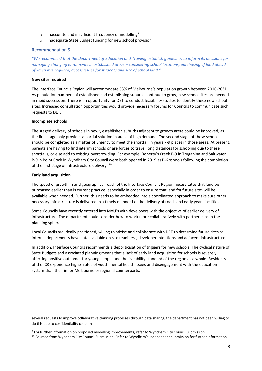- o Inaccurate and insufficient frequency of modelling<sup>9</sup>
- o Inadequate State Budget funding for new school provision

#### <span id="page-4-0"></span>Recommendation 5.

*"We recommend that the Department of Education and Training establish guidelines to inform its decisions for managing changing enrolments in established areas – considering school locations, purchasing of land ahead of when it is required, access issues for students and size of school land."*

#### **New sites required**

The Interface Councils Region will accommodate 53% of Melbourne's population growth between 2016-2031. As population numbers of established and establishing suburbs continue to grow, new school sites are needed in rapid succession. There is an opportunity for DET to conduct feasibility studies to identify these new school sites. Increased consultation opportunities would provide necessary forums for Councils to communicate such requests to DET.

#### **Incomplete schools**

The staged delivery of schools in newly established suburbs adjacent to growth areas could be improved, as the first stage only provides a partial solution in areas of high demand. The second stage of these schools should be completed as a matter of urgency to meet the shortfall in years 7-9 places in those areas. At present, parents are having to find interim schools or are forces to travel long distances for schooling due to these shortfalls, or else add to existing overcrowding. For example, Doherty's Creek P-9 in Truganina and Saltwater P-9 in Point Cook in Wyndham City Council were both opened in 2019 as P-6 schools following the completion of the first stage of infrastructure delivery. <sup>10</sup>

#### **Early land acquisition**

**.** 

The speed of growth in and geographical reach of the Interface Councils Region necessitates that land be purchased earlier than is current practice, especially in order to ensure that land for future sites will be available when needed. Further, this needs to be embedded into a coordinated approach to make sure other necessary infrastructure is delivered in a timely manner i.e. the delivery of roads and early years facilities.

Some Councils have recently entered into MoU's with developers with the objective of earlier delivery of infrastructure. The department could consider how to work more collaboratively with partnerships in the planning sphere.

Local Councils are ideally positioned, willing to advise and collaborate with DET to determine future sites as internal departments have data available on site readiness, developer intentions and adjacent infrastructure.

In addition, Interface Councils recommends a depoliticisation of triggers for new schools. The cyclical nature of State Budgets and associated planning means that a lack of early land acquisition for schools is severely affecting positive outcomes for young people and the liveability standard of the region as a whole. Residents of the ICR experience higher rates of youth mental health issues and disengagement with the education system than their inner Melbourne or regional counterparts.

several requests to improve collaborative planning processes through data sharing, the department has not been willing to do this due to confidentiality concerns.

<sup>9</sup> For further information on proposed modelling improvements, refer to Wyndham City Council Submission.

<sup>10</sup> Sourced from Wyndham City Council Submission. Refer to Wyndham's independent submission for further information.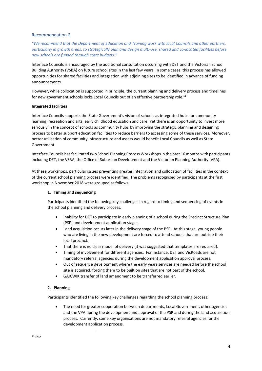#### <span id="page-5-0"></span>Recommendation 6.

*"We recommend that the Department of Education and Training work with local Councils and other partners, particularly in growth areas, to strategically plan and design multi-use, shared and co-located facilities before new schools are funded through state budgets."*

Interface Councils is encouraged by the additional consultation occurring with DET and the Victorian School Building Authority (VSBA) on future school sites in the last few years. In some cases, this process has allowed opportunities for shared facilities and integration with adjoining sites to be identified in advance of funding announcements.

However, while collocation is supported in principle, the current planning and delivery process and timelines for new government schools locks Local Councils out of an effective partnership role.<sup>11</sup>

#### **Integrated facilities**

Interface Councils supports the State Government's vision of schools as integrated hubs for community learning, recreation and arts, early childhood education and care. Yet there is an opportunity to invest more seriously in the concept of schools as community hubs by improving the strategic planning and designing process to better support education facilities to reduce barriers to accessing some of these services. Moreover, better utilisation of community infrastructure and assets would benefit Local Councils as well as State Government.

Interface Councils has facilitated two School Planning Process Workshops in the past 16 months with participants including DET, the VSBA, the Office of Suburban Development and the Victorian Planning Authority (VPA).

At these workshops, particular issues preventing greater integration and collocation of facilities in the context of the current school planning process were identified. The problems recognised by participants at the first workshop in November 2018 were grouped as follows:

#### **1. Timing and sequencing**

Participants identified the following key challenges in regard to timing and sequencing of events in the school planning and delivery process:

- Inability for DET to participate in early planning of a school during the Precinct Structure Plan (PSP) and development application stages.
- Land acquisition occurs later in the delivery stage of the PSP. At this stage, young people who are living in the new development are forced to attend schools that are outside their local precinct.
- That there is no clear model of delivery (it was suggested that templates are required).
- Timing of involvement for different agencies. For instance, DET and VicRoads are not mandatory referral agencies during the development application approval process.
- Out of sequence development where the early years services are needed before the school site is acquired, forcing them to be built on sites that are not part of the school.
- GAICWIK transfer of land amendment to be transferred earlier.

#### **2. Planning**

Participants identified the following key challenges regarding the school planning process:

 The need for greater cooperation between departments, Local Government, other agencies and the VPA during the development and approval of the PSP and during the land acquisition process. Currently, some key organisations are not mandatory referral agencies for the development application process.

**.**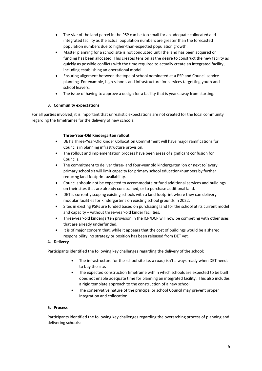- The size of the land parcel in the PSP can be too small for an adequate collocated and integrated facility as the actual population numbers are greater than the forecasted population numbers due to higher-than-expected population growth.
- Master planning for a school site is not conducted until the land has been acquired or funding has been allocated. This creates tension as the desire to construct the new facility as quickly as possible conflicts with the time required to actually create an integrated facility, including establishing an operational model
- Ensuring alignment between the type of school nominated at a PSP and Council service planning. For example, high schools and infrastructure for services targetting youth and school leavers.
- The issue of having to approve a design for a facility that is years away from starting.

#### **3. Community expectations**

For all parties involved, it is important that unrealistic expectations are not created for the local community regarding the timeframes for the delivery of new schools.

#### **Three-Year-Old Kindergarten rollout**

- DET's Three-Year-Old Kinder Collocation Commitment will have major ramifications for Councils in planning infrastructure provision.
- The rollout and implementation process have been areas of significant confusion for Councils.
- The commitment to deliver three- and four-year old kindergarten 'on or next to' every primary school sit will limit capacity for primary school education/numbers by further reducing land footprint availability.
- Councils should not be expected to accommodate or fund additional services and buildings on their sites that are already constrained, or to purchase additional land.
- DET is currently scoping existing schools with a land footprint where they can delivery modular facilities for kindergartens on existing school grounds in 2022.
- Sites in existing PSPs are funded based on purchasing land for the school at its current model and capacity – without three-year-old kinder facilities.
- Three-year-old kindergarten provision in the ICP/DCP will now be competing with other uses that are already underfunded.
- It is of major concern that, while it appears that the cost of buildings would be a shared responsibility, no strategy or position has been released from DET yet.

#### **4. Delivery**

Participants identified the following key challenges regarding the delivery of the school:

- The infrastructure for the school site i.e. a road) isn't always ready when DET needs to buy the site.
- The expected construction timeframe within which schools are expected to be built does not enable adequate time for planning an integrated facility. This also includes a rigid template approach to the construction of a new school.
- The conservative nature of the principal or school Council may prevent proper integration and collocation.

#### **5. Process**

Participants identified the following key challenges regarding the overarching process of planning and delivering schools: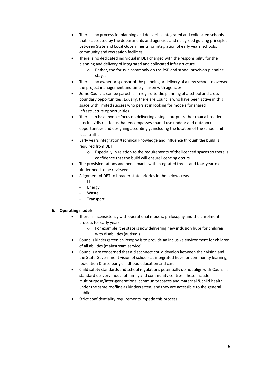- There is no process for planning and delivering integrated and collocated schools that is accepted by the departments and agencies and no agreed guiding principles between State and Local Governments for integration of early years, schools, community and recreation facilities.
- There is no dedicated individual in DET charged with the responsibility for the planning and delivery of integrated and collocated infrastructure.
	- o Rather, the focus is commonly on the PSP and school provision planning stages
- There is no owner or sponsor of the planning or delivery of a new school to oversee the project management and timely liaison with agencies.
- Some Councils can be parochial in regard to the planning of a school and crossboundary opportunities. Equally, there are Councils who have been active in this space with limited success who persist in looking for models for shared infrastructure opportunities.
- There can be a myopic focus on delivering a single output rather than a broader precinct/district focus that encompasses shared use (indoor and outdoor) opportunities and designing accordingly, including the location of the school and local traffic.
- Early years integration/technical knowledge and influence through the build is required from DET.
	- o Especially in relation to the requirements of the licenced spaces so there is confidence that the build will ensure licencing occurs.
- The provision rations and benchmarks with integrated three- and four-year-old kinder need to be reviewed.
- Alignment of DET to broader state priories in the below areas
	- IT
	- **Energy**
	- **Waste**
	- **Transport**

#### **6. Operating models**

- There is inconsistency with operational models, philosophy and the enrolment process for early years.
	- o For example, the state is now delivering new inclusion hubs for children with disabilities (autism.)
- Councils kindergarten philosophy is to provide an inclusive environment for children of all abilities (mainstream service).
- Councils are concerned that a disconnect could develop between their vision and the State Government vision of schools as integrated hubs for community learning, recreation & arts, early childhood education and care.
- Child safety standards and school regulations potentially do not align with Council's standard delivery model of family and community centres. These include multipurpose/inter-generational community spaces and maternal & child health under the same roofline as kindergarten, and they are accessible to the general public.
- Strict confidentiality requirements impede this process.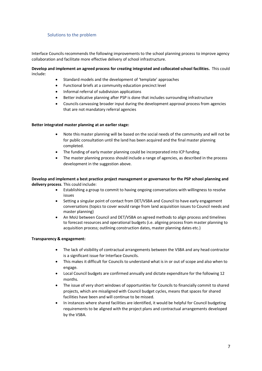#### <span id="page-8-0"></span>Solutions to the problem

Interface Councils recommends the following improvements to the school planning process to improve agency collaboration and facilitate more effective delivery of school infrastructure.

#### **Develop and implement an agreed process for creating integrated and collocated school facilities.** This could include:

- Standard models and the development of 'template' approaches
- Functional briefs at a community education precinct level
- Informal referral of subdivision applications
- Better indicative planning after PSP is done that includes surrounding infrastructure
- Councils canvassing broader input during the development approval process from agencies that are not mandatory referral agencies

#### **Better integrated master planning at an earlier stage:**

- Note this master planning will be based on the social needs of the community and will not be for public consultation until the land has been acquired and the final master planning completed.
- The funding of early master planning could be incorporated into ICP funding.
- The master planning process should include a range of agencies, as described in the process development in the suggestion above.

**Develop and implement a best practice project management or governance for the PSP school planning and delivery process**. This could include:

- Establishing a group to commit to having ongoing conversations with willingness to resolve issues
- Setting a singular point of contact from DET/VSBA and Council to have early engagement conversations (topics to cover would range from land acquisition issues to Council needs and master planning)
- An MoU between Council and DET/VSBA on agreed methods to align process and timelines to forecast resources and operational budgets (i.e. aligning process from master planning to acquisition process; outlining construction dates, master planning dates etc.)

#### **Transparency & engagement:**

- The lack of visibility of contractual arrangements between the VSBA and any head contractor is a significant issue for Interface Councils.
- This makes it difficult for Councils to understand what is in or out of scope and also when to engage.
- Local Council budgets are confirmed annually and dictate expenditure for the following 12 months.
- The issue of very short windows of opportunities for Councils to financially commit to shared projects, which are misaligned with Council budget cycles, means that spaces for shared facilities have been and will continue to be missed.
- In instances where shared facilities are identified, it would be helpful for Council budgeting requirements to be aligned with the project plans and contractual arrangements developed by the VSBA.